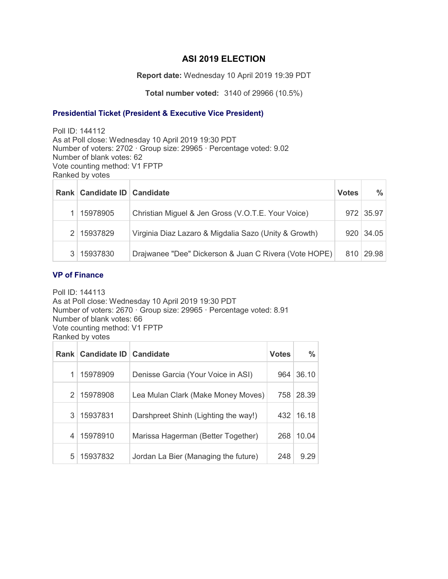# **ASI 2019 ELECTION**

**Report date:** Wednesday 10 April 2019 19:39 PDT

**Total number voted:** 3140 of 29966 (10.5%)

### **Presidential Ticket (President & Executive Vice President)**

Poll ID: 144112 As at Poll close: Wednesday 10 April 2019 19:30 PDT Number of voters: 2702 · Group size: 29965 · Percentage voted: 9.02 Number of blank votes: 62 Vote counting method: V1 FPTP Ranked by votes

| Rank   Candidate ID   Candidate |                                                       | <b>Votes</b> | $\%$        |
|---------------------------------|-------------------------------------------------------|--------------|-------------|
| 15978905                        | Christian Miguel & Jen Gross (V.O.T.E. Your Voice)    |              | 972   35.97 |
| 2   15937829                    | Virginia Diaz Lazaro & Migdalia Sazo (Unity & Growth) |              | 920   34.05 |
| 15937830                        | Drajwanee "Dee" Dickerson & Juan C Rivera (Vote HOPE) |              | 810 29.98   |

### **VP of Finance**

Poll ID: 144113 As at Poll close: Wednesday 10 April 2019 19:30 PDT Number of voters: 2670 · Group size: 29965 · Percentage voted: 8.91 Number of blank votes: 66 Vote counting method: V1 FPTP Ranked by votes

| <b>Rank</b>   | Candidate ID | Candidate                            | <b>Votes</b> | $\frac{0}{0}$ |
|---------------|--------------|--------------------------------------|--------------|---------------|
|               | 15978909     | Denisse Garcia (Your Voice in ASI)   | 964          | 36.10         |
| $\mathcal{P}$ | 15978908     | Lea Mulan Clark (Make Money Moves)   | 758          | 28.39         |
| 3             | 15937831     | Darshpreet Shinh (Lighting the way!) | 432          | 16.18         |
| 4             | 15978910     | Marissa Hagerman (Better Together)   | 268          | 10.04         |
| 5             | 15937832     | Jordan La Bier (Managing the future) | 248          | 9.29          |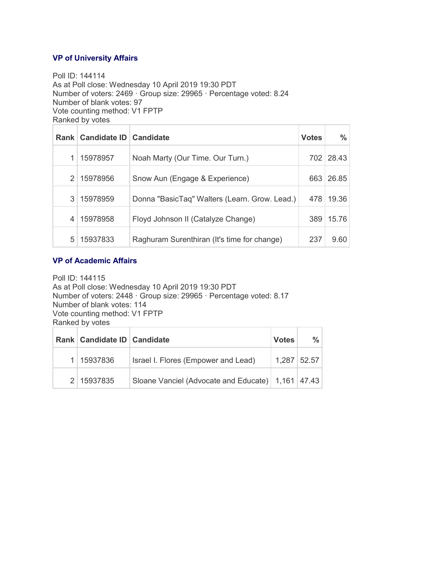### **VP of University Affairs**

Poll ID: 144114 As at Poll close: Wednesday 10 April 2019 19:30 PDT Number of voters: 2469 · Group size: 29965 · Percentage voted: 8.24 Number of blank votes: 97 Vote counting method: V1 FPTP Ranked by votes

|               | Rank   Candidate ID   Candidate |                                               | <b>Votes</b> | ℅     |
|---------------|---------------------------------|-----------------------------------------------|--------------|-------|
|               | 15978957                        | Noah Marty (Our Time. Our Turn.)              | 702          | 28.43 |
| $\mathcal{P}$ | 15978956                        | Snow Aun (Engage & Experience)                | 663          | 26.85 |
| 3             | 15978959                        | Donna "BasicTaq" Walters (Learn. Grow. Lead.) | 478          | 19.36 |
|               | 15978958                        | Floyd Johnson II (Catalyze Change)            | 389          | 15.76 |
| 5             | 15937833                        | Raghuram Surenthiran (It's time for change)   | 237          | 9.60  |

#### **VP of Academic Affairs**

Poll ID: 144115 As at Poll close: Wednesday 10 April 2019 19:30 PDT Number of voters: 2448 · Group size: 29965 · Percentage voted: 8.17 Number of blank votes: 114 Vote counting method: V1 FPTP Ranked by votes

|  | Rank   Candidate ID   Candidate |                                                   | <b>Votes</b> | $\frac{9}{6}$ |
|--|---------------------------------|---------------------------------------------------|--------------|---------------|
|  | 15937836                        | Israel I. Flores (Empower and Lead)               |              | $1,287$ 52.57 |
|  | 2 15937835                      | Sloane Vanciel (Advocate and Educate) 1,161 47.43 |              |               |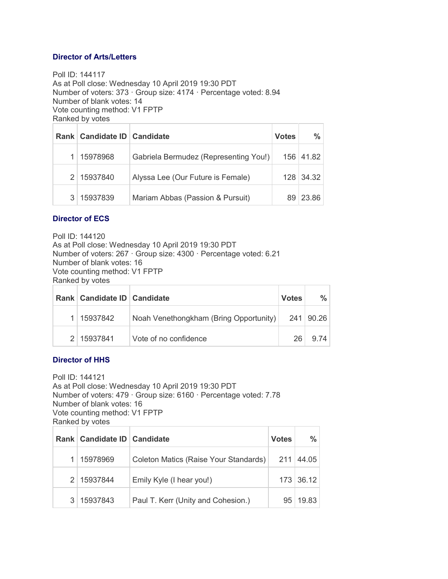### **Director of Arts/Letters**

Poll ID: 144117 As at Poll close: Wednesday 10 April 2019 19:30 PDT Number of voters: 373 · Group size: 4174 · Percentage voted: 8.94 Number of blank votes: 14 Vote counting method: V1 FPTP Ranked by votes

|    | Rank   Candidate ID   Candidate |                                       | <b>Votes</b> | $\frac{9}{6}$ |
|----|---------------------------------|---------------------------------------|--------------|---------------|
|    | 15978968                        | Gabriela Bermudez (Representing You!) |              | 156 41.82     |
|    | 2 15937840                      | Alyssa Lee (Our Future is Female)     |              | 128 34.32     |
| 3. | 15937839                        | Mariam Abbas (Passion & Pursuit)      | 89.          | 23.86         |

# **Director of ECS**

Poll ID: 144120 As at Poll close: Wednesday 10 April 2019 19:30 PDT Number of voters: 267 · Group size: 4300 · Percentage voted: 6.21 Number of blank votes: 16 Vote counting method: V1 FPTP Ranked by votes

|  | Rank   Candidate ID   Candidate |                                        | <b>Votes</b> | $\frac{0}{2}$ |
|--|---------------------------------|----------------------------------------|--------------|---------------|
|  | 15937842                        | Noah Venethongkham (Bring Opportunity) |              | 241 90.26     |
|  | 2 15937841                      | Vote of no confidence                  | 26           | 9.74          |

# **Director of HHS**

Poll ID: 144121 As at Poll close: Wednesday 10 April 2019 19:30 PDT Number of voters: 479 · Group size: 6160 · Percentage voted: 7.78 Number of blank votes: 16 Vote counting method: V1 FPTP Ranked by votes

|                | Rank   Candidate ID   Candidate |                                       | <b>Votes</b>    | %         |
|----------------|---------------------------------|---------------------------------------|-----------------|-----------|
|                | 15978969                        | Coleton Matics (Raise Your Standards) | 211             | 44.05     |
|                | 2 15937844                      | Emily Kyle (I hear you!)              |                 | 173 36.12 |
| 3 <sup>1</sup> | 15937843                        | Paul T. Kerr (Unity and Cohesion.)    | 95 <sub>1</sub> | 19.83     |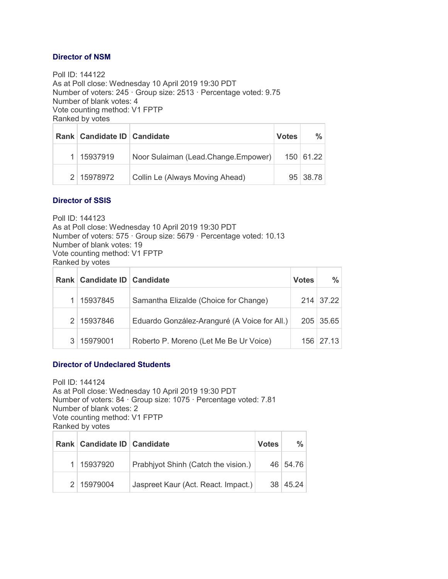### **Director of NSM**

Poll ID: 144122 As at Poll close: Wednesday 10 April 2019 19:30 PDT Number of voters: 245 · Group size: 2513 · Percentage voted: 9.75 Number of blank votes: 4 Vote counting method: V1 FPTP Ranked by votes

| Rank   Candidate ID   Candidate |                                     | <b>Votes</b> | $\frac{0}{2}$ |
|---------------------------------|-------------------------------------|--------------|---------------|
| 15937919                        | Noor Sulaiman (Lead.Change.Empower) |              | 150 61.22     |
| 2 15978972                      | Collin Le (Always Moving Ahead)     |              | 95 38.78      |

### **Director of SSIS**

Poll ID: 144123 As at Poll close: Wednesday 10 April 2019 19:30 PDT Number of voters: 575 · Group size: 5679 · Percentage voted: 10.13 Number of blank votes: 19 Vote counting method: V1 FPTP Ranked by votes

|               | Rank   Candidate ID   Candidate |                                              | <b>Votes</b> | $\frac{0}{2}$    |
|---------------|---------------------------------|----------------------------------------------|--------------|------------------|
|               | 15937845                        | Samantha Elizalde (Choice for Change)        |              | 214 37.22        |
| $\mathcal{P}$ | 15937846                        | Eduardo González-Aranguré (A Voice for All.) |              | 205 35.65        |
|               | 15979001                        | Roberto P. Moreno (Let Me Be Ur Voice)       |              | $156 \mid 27.13$ |

#### **Director of Undeclared Students**

Poll ID: 144124 As at Poll close: Wednesday 10 April 2019 19:30 PDT Number of voters: 84 · Group size: 1075 · Percentage voted: 7.81 Number of blank votes: 2 Vote counting method: V1 FPTP Ranked by votes

| Rank   Candidate ID   Candidate |                                     | <b>Votes</b> | $\%$     |
|---------------------------------|-------------------------------------|--------------|----------|
| 1   15937920                    | Prabhiyot Shinh (Catch the vision.) |              | 46 54.76 |
| 2 15979004                      | Jaspreet Kaur (Act. React. Impact.) |              | 38 45.24 |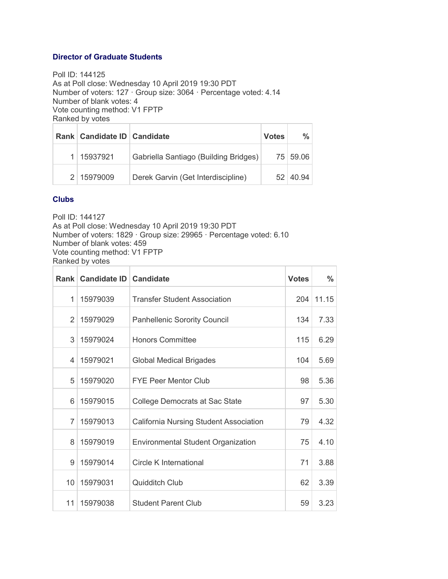### **Director of Graduate Students**

Poll ID: 144125 As at Poll close: Wednesday 10 April 2019 19:30 PDT Number of voters: 127 · Group size: 3064 · Percentage voted: 4.14 Number of blank votes: 4 Vote counting method: V1 FPTP Ranked by votes

| Rank   Candidate ID   Candidate |                                       | <b>Votes</b> | $\frac{0}{n}$        |
|---------------------------------|---------------------------------------|--------------|----------------------|
| 15937921                        | Gabriella Santiago (Building Bridges) |              | 75 59.06             |
| 2   15979009                    | Derek Garvin (Get Interdiscipline)    |              | $52 \mid 40.94 \mid$ |

# **Clubs**

Poll ID: 144127

As at Poll close: Wednesday 10 April 2019 19:30 PDT Number of voters: 1829 · Group size: 29965 · Percentage voted: 6.10 Number of blank votes: 459 Vote counting method: V1 FPTP

Ranked by votes

| Rank           | Candidate ID   Candidate |                                           | <b>Votes</b> | $\frac{0}{0}$ |
|----------------|--------------------------|-------------------------------------------|--------------|---------------|
| $\mathbf{1}$   | 15979039                 | <b>Transfer Student Association</b>       | 204          | 11.15         |
| $\overline{2}$ | 15979029                 | <b>Panhellenic Sorority Council</b>       | 134          | 7.33          |
| 3              | 15979024                 | <b>Honors Committee</b>                   | 115          | 6.29          |
| 4              | 15979021                 | <b>Global Medical Brigades</b>            | 104          | 5.69          |
| 5              | 15979020                 | <b>FYE Peer Mentor Club</b>               | 98           | 5.36          |
| 6              | 15979015                 | College Democrats at Sac State            | 97           | 5.30          |
| $\overline{7}$ | 15979013                 | California Nursing Student Association    | 79           | 4.32          |
| 8              | 15979019                 | <b>Environmental Student Organization</b> | 75           | 4.10          |
| 9              | 15979014                 | <b>Circle K International</b>             | 71           | 3.88          |
| 10             | 15979031                 | <b>Quidditch Club</b>                     | 62           | 3.39          |
| 11             | 15979038                 | <b>Student Parent Club</b>                | 59           | 3.23          |